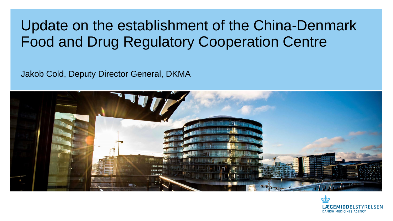#### Update on the establishment of the China-Denmark Food and Drug Regulatory Cooperation Centre

Jakob Cold, Deputy Director General, DKMA



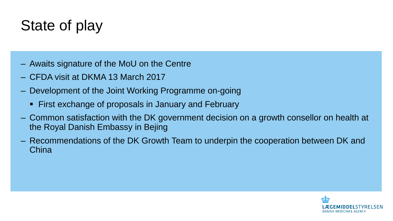# State of play

- ‒ Awaits signature of the MoU on the Centre
- ‒ CFDA visit at DKMA 13 March 2017
- ‒ Development of the Joint Working Programme on-going
	- First exchange of proposals in January and February
- ‒ Common satisfaction with the DK government decision on a growth consellor on health at the Royal Danish Embassy in Bejing
- ‒ Recommendations of the DK Growth Team to underpin the cooperation between DK and **China**

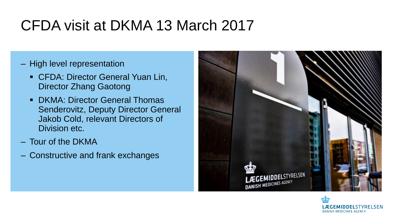## CFDA visit at DKMA 13 March 2017

- ‒ High level representation
	- **CFDA: Director General Yuan Lin,** Director Zhang Gaotong
	- DKMA: Director General Thomas Senderovitz, Deputy Director General Jakob Cold, relevant Directors of Division etc.
- ‒ Tour of the DKMA
- ‒ Constructive and frank exchanges



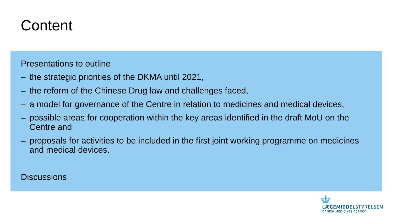#### **Content**

Presentations to outline

- ‒ the strategic priorities of the DKMA until 2021,
- ‒ the reform of the Chinese Drug law and challenges faced,
- ‒ a model for governance of the Centre in relation to medicines and medical devices,
- ‒ possible areas for cooperation within the key areas identified in the draft MoU on the Centre and
- ‒ proposals for activities to be included in the first joint working programme on medicines and medical devices.

**Discussions** 

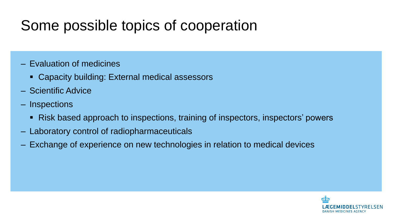## Some possible topics of cooperation

- ‒ Evaluation of medicines
	- Capacity building: External medical assessors
- ‒ Scientific Advice
- ‒ Inspections
	- Risk based approach to inspections, training of inspectors, inspectors' powers
- ‒ Laboratory control of radiopharmaceuticals
- ‒ Exchange of experience on new technologies in relation to medical devices

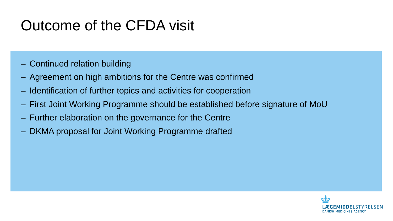## Outcome of the CFDA visit

- ‒ Continued relation building
- ‒ Agreement on high ambitions for the Centre was confirmed
- ‒ Identification of further topics and activities for cooperation
- ‒ First Joint Working Programme should be established before signature of MoU
- ‒ Further elaboration on the governance for the Centre
- ‒ DKMA proposal for Joint Working Programme drafted

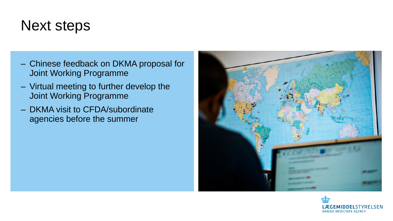#### Next steps

- ‒ Chinese feedback on DKMA proposal for Joint Working Programme
- ‒ Virtual meeting to further develop the Joint Working Programme
- ‒ DKMA visit to CFDA/subordinate agencies before the summer